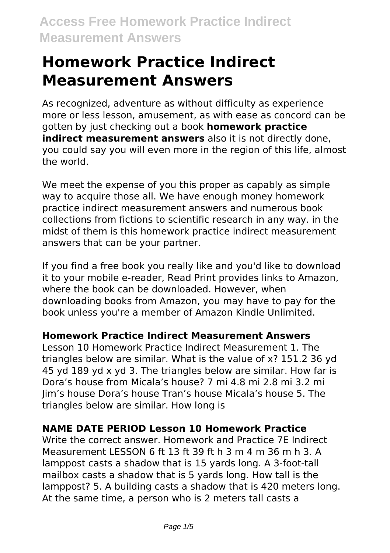# **Homework Practice Indirect Measurement Answers**

As recognized, adventure as without difficulty as experience more or less lesson, amusement, as with ease as concord can be gotten by just checking out a book **homework practice indirect measurement answers** also it is not directly done, you could say you will even more in the region of this life, almost the world.

We meet the expense of you this proper as capably as simple way to acquire those all. We have enough money homework practice indirect measurement answers and numerous book collections from fictions to scientific research in any way. in the midst of them is this homework practice indirect measurement answers that can be your partner.

If you find a free book you really like and you'd like to download it to your mobile e-reader, Read Print provides links to Amazon, where the book can be downloaded. However, when downloading books from Amazon, you may have to pay for the book unless you're a member of Amazon Kindle Unlimited.

#### **Homework Practice Indirect Measurement Answers**

Lesson 10 Homework Practice Indirect Measurement 1. The triangles below are similar. What is the value of x? 151.2 36 yd 45 yd 189 yd x yd 3. The triangles below are similar. How far is Dora's house from Micala's house? 7 mi 4.8 mi 2.8 mi 3.2 mi Jim's house Dora's house Tran's house Micala's house 5. The triangles below are similar. How long is

# **NAME DATE PERIOD Lesson 10 Homework Practice**

Write the correct answer. Homework and Practice 7E Indirect Measurement LESSON 6 ft 13 ft 39 ft h 3 m 4 m 36 m h 3. A lamppost casts a shadow that is 15 yards long. A 3-foot-tall mailbox casts a shadow that is 5 yards long. How tall is the lamppost? 5. A building casts a shadow that is 420 meters long. At the same time, a person who is 2 meters tall casts a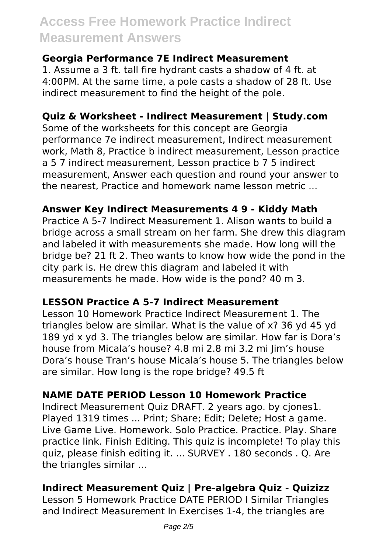#### **Georgia Performance 7E Indirect Measurement**

1. Assume a 3 ft. tall fire hydrant casts a shadow of 4 ft. at 4:00PM. At the same time, a pole casts a shadow of 28 ft. Use indirect measurement to find the height of the pole.

### **Quiz & Worksheet - Indirect Measurement | Study.com**

Some of the worksheets for this concept are Georgia performance 7e indirect measurement, Indirect measurement work, Math 8, Practice b indirect measurement, Lesson practice a 5 7 indirect measurement, Lesson practice b 7 5 indirect measurement, Answer each question and round your answer to the nearest, Practice and homework name lesson metric ...

# **Answer Key Indirect Measurements 4 9 - Kiddy Math**

Practice A 5-7 Indirect Measurement 1. Alison wants to build a bridge across a small stream on her farm. She drew this diagram and labeled it with measurements she made. How long will the bridge be? 21 ft 2. Theo wants to know how wide the pond in the city park is. He drew this diagram and labeled it with measurements he made. How wide is the pond? 40 m 3.

# **LESSON Practice A 5-7 Indirect Measurement**

Lesson 10 Homework Practice Indirect Measurement 1. The triangles below are similar. What is the value of x? 36 yd 45 yd 189 yd x yd 3. The triangles below are similar. How far is Dora's house from Micala's house? 4.8 mi 2.8 mi 3.2 mi Jim's house Dora's house Tran's house Micala's house 5. The triangles below are similar. How long is the rope bridge? 49.5 ft

# **NAME DATE PERIOD Lesson 10 Homework Practice**

Indirect Measurement Quiz DRAFT. 2 years ago. by cjones1. Played 1319 times ... Print; Share; Edit; Delete; Host a game. Live Game Live. Homework. Solo Practice. Practice. Play. Share practice link. Finish Editing. This quiz is incomplete! To play this quiz, please finish editing it. ... SURVEY . 180 seconds . Q. Are the triangles similar ...

# **Indirect Measurement Quiz | Pre-algebra Quiz - Quizizz**

Lesson 5 Homework Practice DATE PERIOD I Similar Triangles and Indirect Measurement In Exercises 1-4, the triangles are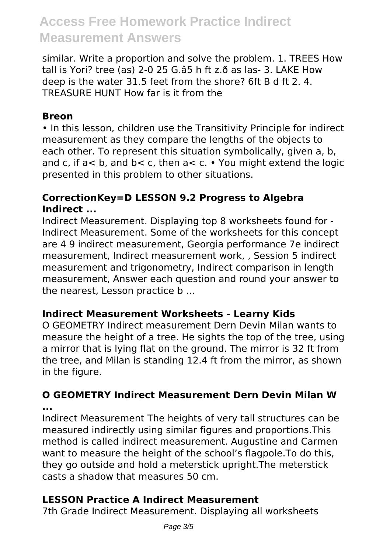similar. Write a proportion and solve the problem. 1. TREES How tall is Yori? tree (as) 2-0 25 G.â5 h ft z.ð as las- 3. LAKE How deep is the water 31.5 feet from the shore? 6ft B d ft 2. 4. TREASURE HUNT How far is it from the

#### **Breon**

• In this lesson, children use the Transitivity Principle for indirect measurement as they compare the lengths of the objects to each other. To represent this situation symbolically, given a, b, and c, if  $a < b$ , and  $b < c$ , then  $a < c$ . • You might extend the logic presented in this problem to other situations.

# **CorrectionKey=D LESSON 9.2 Progress to Algebra Indirect ...**

Indirect Measurement. Displaying top 8 worksheets found for - Indirect Measurement. Some of the worksheets for this concept are 4 9 indirect measurement, Georgia performance 7e indirect measurement, Indirect measurement work, , Session 5 indirect measurement and trigonometry, Indirect comparison in length measurement, Answer each question and round your answer to the nearest, Lesson practice b ...

# **Indirect Measurement Worksheets - Learny Kids**

O GEOMETRY Indirect measurement Dern Devin Milan wants to measure the height of a tree. He sights the top of the tree, using a mirror that is lying flat on the ground. The mirror is 32 ft from the tree, and Milan is standing 12.4 ft from the mirror, as shown in the figure.

### **O GEOMETRY Indirect Measurement Dern Devin Milan W ...**

Indirect Measurement The heights of very tall structures can be measured indirectly using similar figures and proportions.This method is called indirect measurement. Augustine and Carmen want to measure the height of the school's flagpole.To do this, they go outside and hold a meterstick upright.The meterstick casts a shadow that measures 50 cm.

# **LESSON Practice A Indirect Measurement**

7th Grade Indirect Measurement. Displaying all worksheets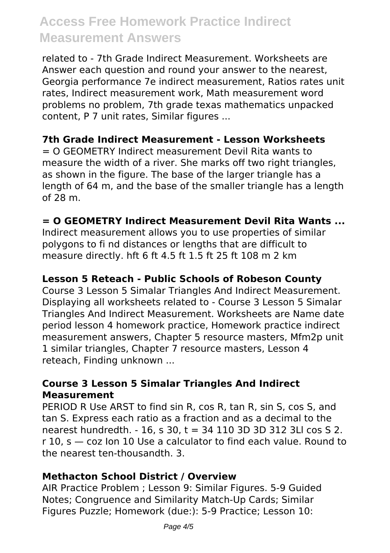related to - 7th Grade Indirect Measurement. Worksheets are Answer each question and round your answer to the nearest, Georgia performance 7e indirect measurement, Ratios rates unit rates, Indirect measurement work, Math measurement word problems no problem, 7th grade texas mathematics unpacked content, P 7 unit rates, Similar figures ...

#### **7th Grade Indirect Measurement - Lesson Worksheets**

= O GEOMETRY Indirect measurement Devil Rita wants to measure the width of a river. She marks off two right triangles, as shown in the figure. The base of the larger triangle has a length of 64 m, and the base of the smaller triangle has a length of 28 m.

#### **= O GEOMETRY Indirect Measurement Devil Rita Wants ...**

Indirect measurement allows you to use properties of similar polygons to fi nd distances or lengths that are difficult to measure directly. hft 6 ft 4.5 ft 1.5 ft 25 ft 108 m 2 km

#### **Lesson 5 Reteach - Public Schools of Robeson County**

Course 3 Lesson 5 Simalar Triangles And Indirect Measurement. Displaying all worksheets related to - Course 3 Lesson 5 Simalar Triangles And Indirect Measurement. Worksheets are Name date period lesson 4 homework practice, Homework practice indirect measurement answers, Chapter 5 resource masters, Mfm2p unit 1 similar triangles, Chapter 7 resource masters, Lesson 4 reteach, Finding unknown ...

#### **Course 3 Lesson 5 Simalar Triangles And Indirect Measurement**

PERIOD R Use ARST to find sin R, cos R, tan R, sin S, cos S, and tan S. Express each ratio as a fraction and as a decimal to the nearest hundredth. - 16, s 30, t = 34 110 3D 3D 312 3Ll cos S 2. r 10, s — coz Ion 10 Use a calculator to find each value. Round to the nearest ten-thousandth. 3.

#### **Methacton School District / Overview**

AIR Practice Problem ; Lesson 9: Similar Figures. 5-9 Guided Notes; Congruence and Similarity Match-Up Cards; Similar Figures Puzzle; Homework (due:): 5-9 Practice; Lesson 10: